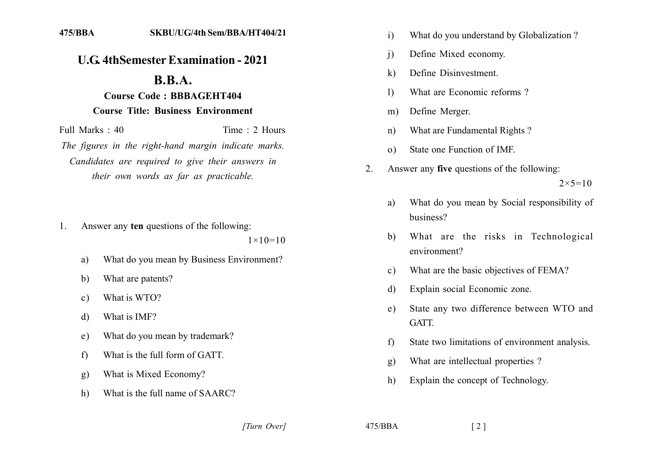## **U.G. 4th Semester Examination - 2021**

## **B.B.A.**

## **Course Code: BBBAGEHT404 Course Title: Business Environment**

Full Marks  $\cdot$  40 Time  $\cdot$  2 Hours The figures in the right-hand margin indicate marks. Candidates are required to give their answers in their own words as far as practicable.

Answer any ten questions of the following: 1.

 $1 \times 10 = 10$ 

- What do you mean by Business Environment? a)
- What are patents?  $h)$
- What is WTO?  $\mathbf{c}$ )
- What is IMF? d)
- What do you mean by trademark?  $e)$
- What is the full form of GATT.  $f$
- What is Mixed Economy?  $g)$
- What is the full name of SAARC?  $h)$
- What do you understand by Globalization?  $\mathbf{i}$
- Define Mixed economy.  $\mathbf{i}$
- Define Disinvestment.  $\bf k$
- $\mathbf{D}$ What are Economic reforms?
- Define Merger.  $m)$
- What are Fundamental Rights?  $n)$
- State one Function of IMF.  $\Omega$
- $\overline{2}$ . Answer any five questions of the following:  $2 \times 5 = 10$ 
	- What do you mean by Social responsibility of a) business?
	- What are the risks in Technological b) environment?
	- What are the basic objectives of FEMA?  $\mathbf{c}$ )
	- Explain social Economic zone.  $\mathbf{d}$
	- State any two difference between WTO and  $e)$ GATT.
	- State two limitations of environment analysis.  $f$
	- What are intellectual properties?  $g)$
	- Explain the concept of Technology.  $h)$

[Turn Over]

 $475/BBA$